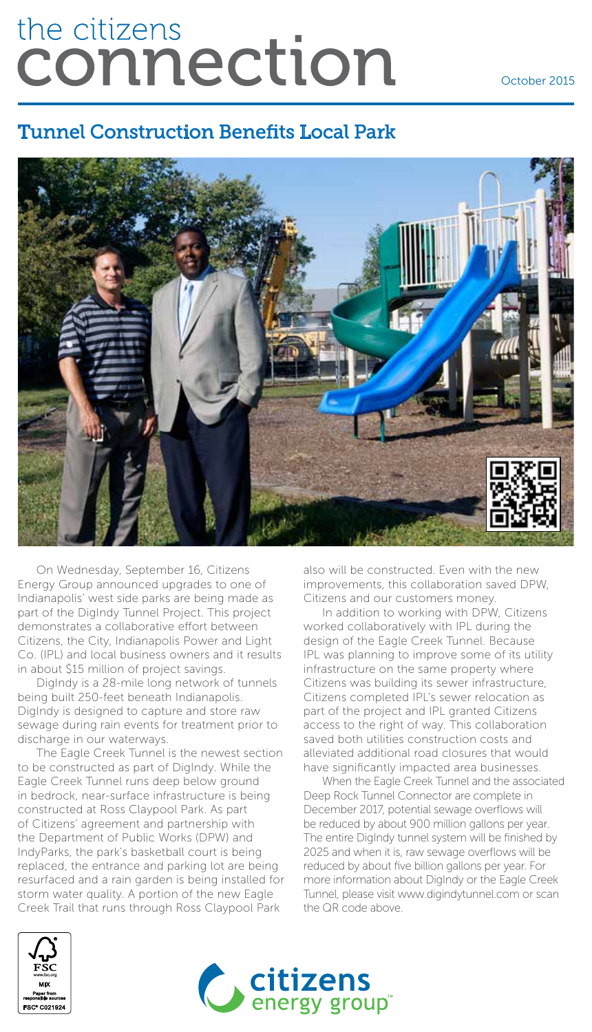# the citizens connection

October 2015

#### Tunnel Construction Benefits Local Park



On Wednesday, September 16, Citizens Energy Group announced upgrades to one of Indianapolis' west side parks are being made as part of the DigIndy Tunnel Project. This project demonstrates a collaborative effort between Citizens, the City, Indianapolis Power and Light Co. (IPL) and local business owners and it results in about \$15 million of project savings.

DigIndy is a 28-mile long network of tunnels being built 250-feet beneath Indianapolis. DigIndy is designed to capture and store raw sewage during rain events for treatment prior to discharge in our waterways.

The Eagle Creek Tunnel is the newest section to be constructed as part of DigIndy. While the Eagle Creek Tunnel runs deep below ground in bedrock, near-surface infrastructure is being constructed at Ross Claypool Park. As part of Citizens' agreement and partnership with the Department of Public Works (DPW) and IndyParks, the park's basketball court is being replaced, the entrance and parking lot are being resurfaced and a rain garden is being installed for storm water quality. A portion of the new Eagle Creek Trail that runs through Ross Claypool Park

also will be constructed. Even with the new improvements, this collaboration saved DPW, Citizens and our customers money.

In addition to working with DPW, Citizens worked collaboratively with IPL during the design of the Eagle Creek Tunnel. Because IPL was planning to improve some of its utility infrastructure on the same property where Citizens was building its sewer infrastructure, Citizens completed IPL's sewer relocation as part of the project and IPL granted Citizens access to the right of way. This collaboration saved both utilities construction costs and alleviated additional road closures that would have significantly impacted area businesses.

When the Eagle Creek Tunnel and the associated Deep Rock Tunnel Connector are complete in December 2017, potential sewage overflows will be reduced by about 900 million gallons per year. The entire DigIndy tunnel system will be finished by 2025 and when it is, raw sewage overflows will be reduced by about five billion gallons per year. For more information about DigIndy or the Eagle Creek Tunnel, please visit www.digindytunnel.com or scan the QR code above.